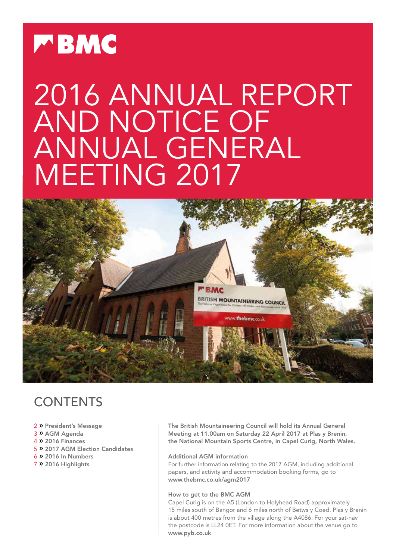

# 2016 ANNUAL REPORT AND NOTICE OF ANNUAL GENERAL MEETING 2017



## **CONTENTS**

#### 2 » President's Message

- 3 » AGM Agenda
- 4 » 2016 Finances
- 5 » 2017 AGM Election Candidates
- 6 » 2016 In Numbers
- 7 » 2016 Highlights

The British Mountaineering Council will hold its Annual General Meeting at 11.00am on Saturday 22 April 2017 at Plas y Brenin, the National Mountain Sports Centre, in Capel Curig, North Wales.

#### Additional AGM information

For further information relating to the 2017 AGM, including additional papers, and activity and accommodation booking forms, go to www.thebmc.co.uk/agm2017

#### How to get to the BMC AGM

Capel Curig is on the A5 (London to Holyhead Road) approximately 15 miles south of Bangor and 6 miles north of Betws y Coed. Plas y Brenin is about 400 metres from the village along the A4086. For your sat-nav the postcode is LL24 0ET. For more information about the venue go to www.pyb.co.uk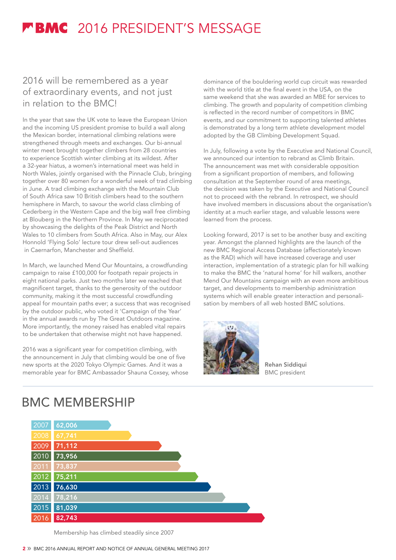## **FBMC** 2016 PRESIDENT'S MESSAGE

### 2016 will be remembered as a year of extraordinary events, and not just in relation to the BMC!

In the year that saw the UK vote to leave the European Union and the incoming US president promise to build a wall along the Mexican border, international climbing relations were strengthened through meets and exchanges. Our bi-annual winter meet brought together climbers from 28 countries to experience Scottish winter climbing at its wildest. After a 32-year hiatus, a women's international meet was held in North Wales, jointly organised with the Pinnacle Club, bringing together over 80 women for a wonderful week of trad climbing in June. A trad climbing exchange with the Mountain Club of South Africa saw 10 British climbers head to the southern hemisphere in March, to savour the world class climbing of Cederberg in the Western Cape and the big wall free climbing at Blouberg in the Northern Province. In May we reciprocated by showcasing the delights of the Peak District and North Wales to 10 climbers from South Africa. Also in May, our Alex Honnold 'Flying Solo' lecture tour drew sell-out audiences in Caernarfon, Manchester and Sheffield.

In March, we launched Mend Our Mountains, a crowdfunding campaign to raise £100,000 for footpath repair projects in eight national parks. Just two months later we reached that magnificent target, thanks to the generosity of the outdoor community, making it the most successful crowdfunding appeal for mountain paths ever; a success that was recognised by the outdoor public, who voted it 'Campaign of the Year' in the annual awards run by The Great Outdoors magazine. More importantly, the money raised has enabled vital repairs to be undertaken that otherwise might not have happened.

2016 was a significant year for competition climbing, with the announcement in July that climbing would be one of five new sports at the 2020 Tokyo Olympic Games. And it was a memorable year for BMC Ambassador Shauna Coxsey, whose

dominance of the bouldering world cup circuit was rewarded with the world title at the final event in the USA, on the same weekend that she was awarded an MBE for services to climbing. The growth and popularity of competition climbing is reflected in the record number of competitors in BMC events, and our commitment to supporting talented athletes is demonstrated by a long term athlete development model adopted by the GB Climbing Development Squad.

In July, following a vote by the Executive and National Council, we announced our intention to rebrand as Climb Britain. The announcement was met with considerable opposition from a significant proportion of members, and following consultation at the September round of area meetings, the decision was taken by the Executive and National Council not to proceed with the rebrand. In retrospect, we should have involved members in discussions about the organisation's identity at a much earlier stage, and valuable lessons were learned from the process.

Looking forward, 2017 is set to be another busy and exciting year. Amongst the planned highlights are the launch of the new BMC Regional Access Database (affectionately known as the RAD) which will have increased coverage and user interaction, implementation of a strategic plan for hill walking to make the BMC the 'natural home' for hill walkers, another Mend Our Mountains campaign with an even more ambitious target, and developments to membership administration systems which will enable greater interaction and personalisation by members of all web hosted BMC solutions.



Rehan Siddiqui BMC president

## BMC MEMBERSHIP



Membership has climbed steadily since 2007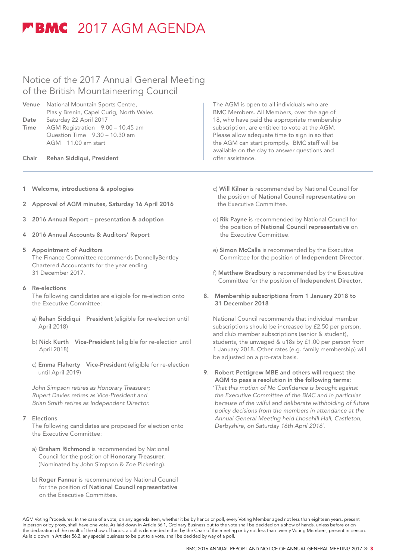## **MBMC** 2017 AGM AGENDA

### Notice of the 2017 Annual General Meeting of the British Mountaineering Council

- Venue National Mountain Sports Centre, Plas y Brenin, Capel Curig, North Wales Date Saturday 22 April 2017 Time AGM Registration 9.00 – 10.45 am Question Time 9.30 – 10.30 am AGM 11.00 am start
- Chair Rehan Siddiqui, President
- 1 Welcome, introductions & apologies
- 2 Approval of AGM minutes, Saturday 16 April 2016
- 3 2016 Annual Report presentation & adoption
- 4 2016 Annual Accounts & Auditors' Report

#### 5 Appointment of Auditors

 The Finance Committee recommends DonnellyBentley Chartered Accountants for the year ending 31 December 2017.

#### 6 Re-elections

 The following candidates are eligible for re-election onto the Executive Committee:

- a) Rehan Siddiqui President (eligible for re-election until April 2018)
- b) Nick Kurth Vice-President (eligible for re-election until April 2018)
- c) Emma Flaherty Vice-President (eligible for re-election until April 2019)

 *John Simpson retires as Honorary Treasurer; Rupert Davies retires as Vice-President and Brian Smith retires as Independent Director.*

#### 7 Elections

 The following candidates are proposed for election onto the Executive Committee:

- a) Graham Richmond is recommended by National Council for the position of Honorary Treasurer. (Nominated by John Simpson & Zoe Pickering).
- b) Roger Fanner is recommended by National Council for the position of National Council representative on the Executive Committee.

The AGM is open to all individuals who are BMC Members. All Members, over the age of 18, who have paid the appropriate membership subscription, are entitled to vote at the AGM. Please allow adequate time to sign in so that the AGM can start promptly. BMC staff will be available on the day to answer questions and offer assistance.

- c) Will Kilner is recommended by National Council for the position of National Council representative on the Executive Committee.
- d) Rik Payne is recommended by National Council for the position of National Council representative on the Executive Committee.
- e) Simon McCalla is recommended by the Executive Committee for the position of Independent Director.
- f) Matthew Bradbury is recommended by the Executive Committee for the position of Independent Director.
- 8. Membership subscriptions from 1 January 2018 to 31 December 2018

 National Council recommends that individual member subscriptions should be increased by £2.50 per person, and club member subscriptions (senior & student), students, the unwaged & u18s by £1.00 per person from 1 January 2018. Other rates (e.g. family membership) will be adjusted on a pro-rata basis.

9. Robert Pettigrew MBE and others will request the AGM to pass a resolution in the following terms: '*That this motion of No Confidence is brought against the Executive Committee of the BMC and in particular because of the wilful and deliberate withholding of future policy decisions from the members in attendance at the Annual General Meeting held Lhosehill Hall, Castleton, Derbyshire, on Saturday 16th April 2016*'.

AGM Voting Procedures: In the case of a vote, on any agenda item, whether it be by hands or poll, every Voting Member aged not less than eighteen years, present in person or by proxy, shall have one vote. As laid down in Article 56.1, Ordinary Business put to the vote shall be decided on a show of hands, unless before or on the declaration of the result of the show of hands, a poll is demanded either by the Chair of the meeting or by not less than twenty Voting Members, present in person. As laid down in Articles 56.2, any special business to be put to a vote, shall be decided by way of a poll.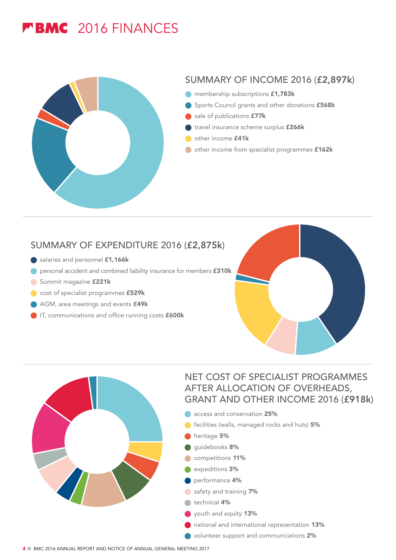## **FBMC** 2016 FINANCES



### SUMMARY OF INCOME 2016 (£2,897k)

- membership subscriptions £1,783k
- Sports Council grants and other donations £568k
- sale of publications **£77k**
- travel insurance scheme surplus £266k
- other income £41k
- other income from specialist programmes £162k

### SUMMARY OF EXPENDITURE 2016 (£2,875k)

- salaries and personnel £1,166k
- **O** personal accident and combined liability insurance for members £310k
- Summit magazine £221k
- cost of specialist programmes £529k
- AGM, area meetings and events **£49k**
- IT, communications and office running costs **£600k**





### NET COST OF SPECIALIST PROGRAMMES AFTER ALLOCATION OF OVERHEADS, GRANT AND OTHER INCOME 2016 (£918k)

- **access and conservation 25%**
- **facilities (walls, managed rocks and huts) 5%**
- heritage 5%
- guidebooks 8%
- competitions 11%
- expeditions 3%
- **O** performance 4%
- safety and training 7%
- technical 4%
- youth and equity 13%
- national and international representation 13%
- volunteer support and communications 2%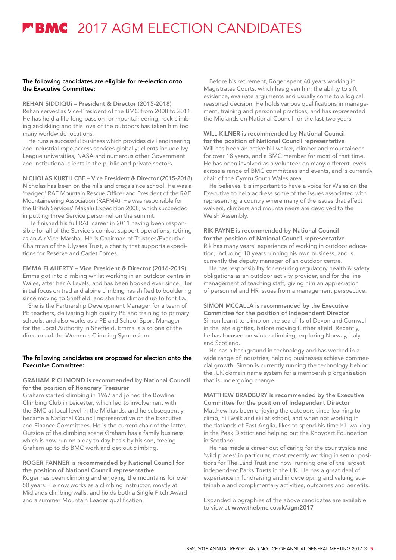## **MBMC** 2017 AGM ELECTION CANDIDATES

#### The following candidates are eligible for re-election onto the Executive Committee:

REHAN SIDDIQUi – President & Director (2015-2018) Rehan served as Vice-President of the BMC from 2008 to 2011. He has held a life-long passion for mountaineering, rock climbing and skiing and this love of the outdoors has taken him too many worldwide locations.

He runs a successful business which provides civil engineering and industrial rope access services globally; clients include Ivy League universities, NASA and numerous other Government and institutional clients in the public and private sectors.

NICHOLAS KURTH CBE – Vice President & Director (2015-2018) Nicholas has been on the hills and crags since school. He was a 'badged' RAF Mountain Rescue Officer and President of the RAF Mountaineering Association (RAFMA). He was responsible for the British Services' Makalu Expedition 2008, which succeeded in putting three Service personnel on the summit.

He finished his full RAF career in 2011 having been responsible for all of the Service's combat support operations, retiring as an Air Vice-Marshal. He is Chairman of Trustees/Executive Chairman of the Ulysses Trust, a charity that supports expeditions for Reserve and Cadet Forces.

#### EMMA FLAHERTY – Vice President & Director (2016-2019)

Emma got into climbing whilst working in an outdoor centre in Wales, after her A Levels, and has been hooked ever since. Her initial focus on trad and alpine climbing has shifted to bouldering since moving to Sheffield, and she has climbed up to font 8a.

She is the Partnership Development Manager for a team of PE teachers, delivering high quality PE and training to primary schools, and also works as a PE and School Sport Manager for the Local Authority in Sheffield. Emma is also one of the directors of the Women's Climbing Symposium.

#### The following candidates are proposed for election onto the Executive Committee:

#### GRAHAM RICHMOND is recommended by National Council for the position of Honorary Treasurer

Graham started climbing in 1967 and joined the Bowline Climbing Club in Leicester, which led to involvement with the BMC at local level in the Midlands, and he subsequently became a National Council representative on the Executive and Finance Committees. He is the current chair of the latter. Outside of the climbing scene Graham has a family business which is now run on a day to day basis by his son, freeing Graham up to do BMC work and get out climbing.

#### ROGER FANNER is recommended by National Council for the position of National Council representative

Roger has been climbing and enjoying the mountains for over 50 years. He now works as a climbing instructor, mostly at Midlands climbing walls, and holds both a Single Pitch Award and a summer Mountain Leader qualification.

Before his retirement, Roger spent 40 years working in Magistrates Courts, which has given him the ability to sift evidence, evaluate arguments and usually come to a logical, reasoned decision. He holds various qualifications in management, training and personnel practices, and has represented the Midlands on National Council for the last two years.

#### WILL KILNER is recommended by National Council for the position of National Council representative

Will has been an active hill walker, climber and mountaineer for over 18 years, and a BMC member for most of that time. He has been involved as a volunteer on many different levels across a range of BMC committees and events, and is currently chair of the Cymru South Wales area.

He believes it is important to have a voice for Wales on the Executive to help address some of the issues associated with representing a country where many of the issues that affect walkers, climbers and mountaineers are devolved to the Welsh Assembly.

#### RIK PAYNE is recommended by National Council for the position of National Council representative Rik has many years' experience of working in outdoor educa-

tion, including 10 years running his own business, and is currently the deputy manager of an outdoor centre.

He has responsibility for ensuring regulatory health & safety obligations as an outdoor activity provider, and for the line management of teaching staff, giving him an appreciation of personnel and HR issues from a management perspective.

#### SIMON MCCALLA is recommended by the Executive Committee for the position of Independent Director

Simon learnt to climb on the sea cliffs of Devon and Cornwall in the late eighties, before moving further afield. Recently, he has focused on winter climbing, exploring Norway, Italy and Scotland.

He has a background in technology and has worked in a wide range of industries, helping businesses achieve commercial growth. Simon is currently running the technology behind the .UK domain name system for a membership organisation that is undergoing change.

#### MATTHEW BRADBURY is recommended by the Executive Committee for the position of Independent Director Matthew has been enjoying the outdoors since learning to climb, hill walk and ski at school, and when not working in the flatlands of East Anglia, likes to spend his time hill walking in the Peak District and helping out the Knoydart Foundation

in Scotland.

He has made a career out of caring for the countryside and 'wild places' in particular, most recently working in senior positions for The Land Trust and now running one of the largest independent Parks Trusts in the UK. He has a great deal of experience in fundraising and in developing and valuing sustainable and complimentary activities, outcomes and benefits.

Expanded biographies of the above candidates are available to view at www.thebmc.co.uk/agm2017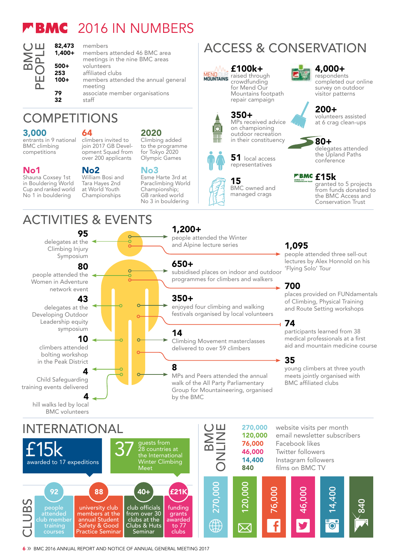## **FBMC** 2016 IN NUMBERS



#### **82,473** members<br>**1.400+** members members attended 46 BMC area meetings in the nine BMC areas 500+ volunteers 253 affiliated clubs<br>100+ members atter members attended the annual general meeting

79 associate member organisations<br>32 staff staff

## **COMPETITIONS**

#### 3,000

entrants in 9 national BMC climbing competitions

#### No1

Shauna Coxsey 1st in Bouldering World Cup and ranked world No 1 in bouldering

### No2

64

William Bosi and Tara Hayes 2nd at World Youth Championships

## ACTIVITIES & EVENTS



## INTERNATIONAL

#### join 2017 GB Development Squad from over 200 applicants

Olympic Games No3

#### Paraclimbing World GB ranked world No 3 in bouldering

people attended the Winter and Alpine lecture series

programmes for climbers and walkers

enjoyed four climbing and walking festivals organised by local volunteers

Climbing Movement masterclasses delivered to over 59 climbers

MPs and Peers attended the annual walk of the All Party Parliamentary Group for Mountaineering, organised by the BMC

## ACCESS & CONSERVATION

## £100k+

**MENUULE** raised through crowdfunding for Mend Our Mountains footpath repair campaign

## 350+

MPs received advice on championing outdoor recreation in their constituency **80+** 



15 BMC owned and managed crags

200+ volunteers assisted at 6 crag clean-ups

4,000+ respondents

completed our online survey on outdoor visitor patterns

delegates attended the Upland Paths conference

### £15k

granted to 5 projects from funds donated to the BMC Access and Conservation Trust

### 1,095

people attended three sell-out lectures by Alex Honnold on hi<mark>s</mark><br>'Flying Solo' Tour

### 700

places provided on FUNdamentals of Climbing, Physical Training and Route Setting workshops

### 74

participants learned from 38 medical professionals at a first aid and mountain medicine course

### 35

young climbers at three youth meets jointly organised with BMC affiliated clubs



6 » BMC 2016 ANNUAL REPORT AND NOTICE OF ANNUAL GENERAL MEETING 2017

2020 Climbing added climbers invited to

to the programme for Tokyo 2020

Esme Harte 3rd at Championship;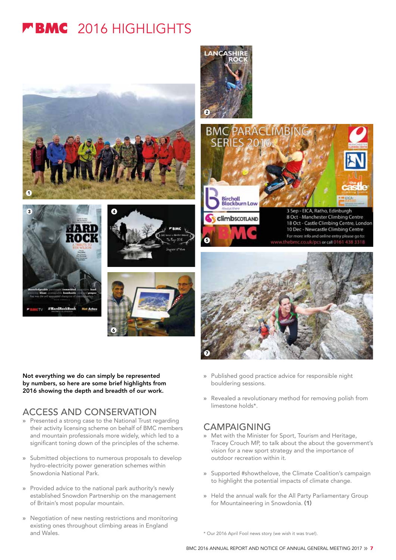## **FBMC** 2016 HIGHLIGHTS







Not everything we do can simply be represented by numbers, so here are some brief highlights from 2016 showing the depth and breadth of our work.

### ACCESS AND CONSERVATION

- » Presented a strong case to the National Trust regarding their activity licensing scheme on behalf of BMC members and mountain professionals more widely, which led to a significant toning down of the principles of the scheme.
- » Submitted objections to numerous proposals to develop hydro-electricity power generation schemes within Snowdonia National Park.
- » Provided advice to the national park authority's newly established Snowdon Partnership on the management of Britain's most popular mountain.
- » Negotiation of new nesting restrictions and monitoring existing ones throughout climbing areas in England and Wales.





- » Published good practice advice for responsible night bouldering sessions.
- » Revealed a revolutionary method for removing polish from limestone holds\*.

### CAMPAIGNING

**ANC** 

- » Met with the Minister for Sport, Tourism and Heritage, Tracey Crouch MP, to talk about the about the government's vision for a new sport strategy and the importance of outdoor recreation within it.
- » Supported #showthelove, the Climate Coalition's campaign to highlight the potential impacts of climate change.
- » Held the annual walk for the All Party Parliamentary Group for Mountaineering in Snowdonia. (1)

\* Our 2016 April Fool news story (we wish it was true!).